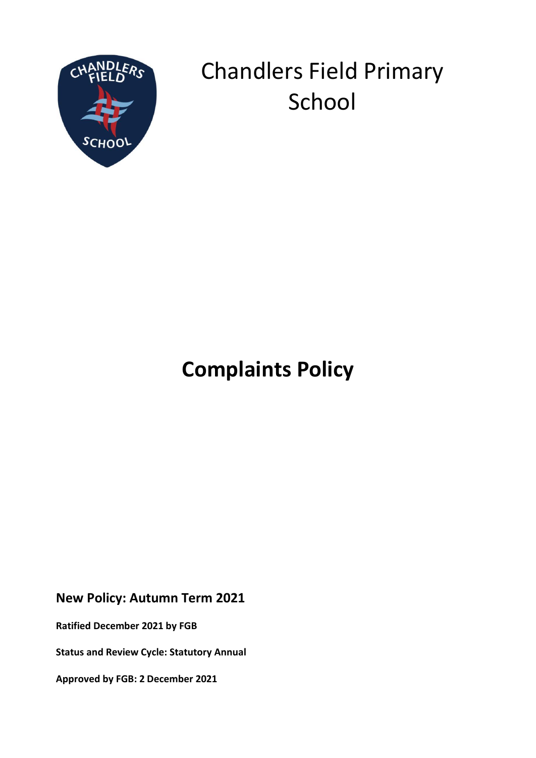

# Chandlers Field Primary School

## **Complaints Policy**

### **New Policy: Autumn Term 2021**

**Ratified December 2021 by FGB**

**Status and Review Cycle: Statutory Annual**

**Approved by FGB: 2 December 2021**